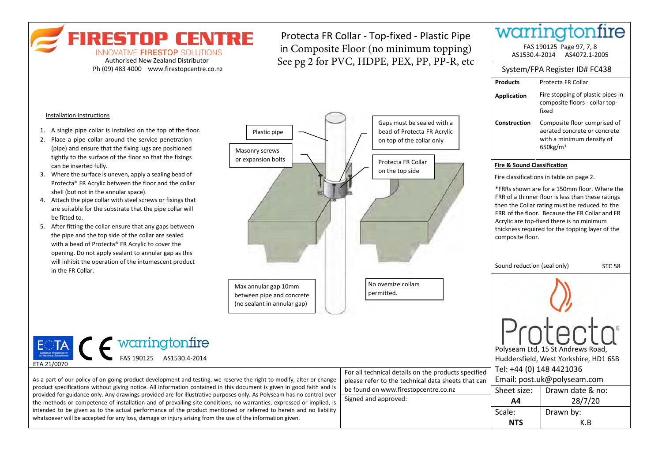warringtonfire **FIRESTOP CENTRE** Protecta FR Collar - Top-fixed - Plastic Pipe in Composite Floor (no minimum topping) FAS 190125 Page 97, 7, 8 INNOVATIVE FIRESTOP SOLUTIONS AS1530.4-2014 AS4072.1-2005 See pg 2 for PVC, HDPE, PEX, PP, PP-R, etc Authorised New Zealand Distributor System/FPA Register ID# FC438 Ph (09) 483 4000 www.firestopcentre.co.nz **Products**  Protecta FR Collar Fire stopping of plastic pipes in **Application** composite floors - collar topfixed Installation Instructions Gaps must be sealed with a **Construction** Composite floor comprised of 1. A single pipe collar is installed on the top of the floor. bead of Protecta FR Acrylic aerated concrete or concrete Plastic pipe with a minimum density of 2. Place a pipe collar around the service penetration on top of the collar only (pipe) and ensure that the fixing lugs are positioned 650kg/m<sup>3</sup> Masonry screws tightly to the surface of the floor so that the fixings or expansion bolts Protecta FR Collar can be inserted fully. **Fire & Sound Classification**  on the top side 3. Where the surface is uneven, apply a sealing bead of Fire classifications in table on page 2. Protecta® FR Acrylic between the floor and the collar \*FRRs shown are for a 150mm floor. Where the shell (but not in the annular space). FRR of a thinner floor is less than these ratings 4. Attach the pipe collar with steel screws or fixings that then the Collar rating must be reduced to the are suitable for the substrate that the pipe collar will FRR of the floor. Because the FR Collar and FR be fitted to. Acrylic are top-fixed there is no minimum 5. After fitting the collar ensure that any gaps between thickness required for the topping layer of the the pipe and the top side of the collar are sealed composite floor. with a bead of Protecta® FR Acrylic to cover the opening. Do not apply sealant to annular gap as this will inhibit the operation of the intumescent product Sound reduction (seal only) STC 58 in the FR Collar. No oversize collars Max annular gap 10mm permitted.

between pipe and concrete (no sealant in annular gap)

As a part of our policy of on-going product development and testing, we reserve the right to modify, alter or change  $|$  please refer to the technical data sheets that can  $|$  Email: post.uk@polyseam.com ETA 21/0070 ENTA WOLFFIND THE MONTH CONTROL AS1530.4-2014

product specifications without giving notice. All information contained in this document is given in good faith and is provided for guidance only. Any drawings provided are for illustrative purposes only. As Polyseam has no control over the methods or competence of installation and of prevailing site conditions, no warranties, expressed or implied, is intended to be given as to the actual performance of the product mentioned or referred to herein and no liability whatsoever will be accepted for any loss, damage or injury arising from the use of the information given.

For all technical details on the products specified please refer to the technical data sheets that can be found on www.firestopcentre.co.nz | Sheet size: Signed and approved:<br> **A4** 28/7/20

Polyseam Ltd, 15 St Andrews Road, Huddersfield, West Yorkshire, HD1 6SB

Protect

Drawn date & no:

K.B

Drawn by:

Tel: +44 (0) 148 4421036

**A4**

Scale: **NTS**